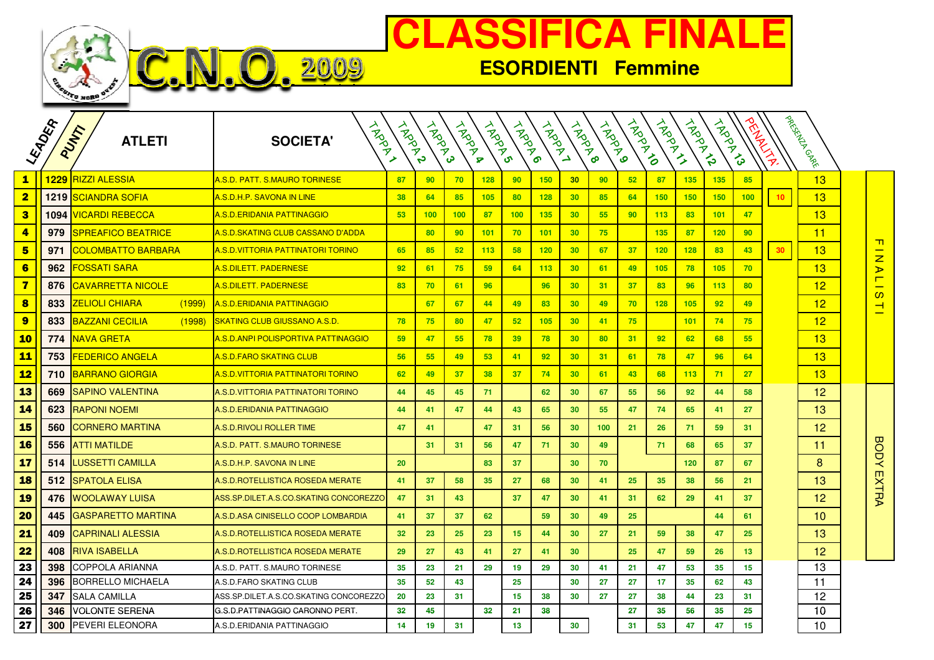

**VFO. 2009** 

## **CLASSIFICA FINALE**

**ESORDIENTI Femmine**

|                         | LEADER | PUNT<br><b>ATLETI</b>            | HADDY<br><b>SOCIETA'</b>                 | <b>HARANT</b> | <b>HARD</b> | <b>HARRY</b>     | <b>HARD</b> | <b>HARD</b> | <b>HARD</b> | <b>HARD</b>     | <b>HARD</b> | TROTAGE | A Room | A Room | <b>ARDANA</b> |     | ARAMAN          | I pacifichall Cancer |                                               |
|-------------------------|--------|----------------------------------|------------------------------------------|---------------|-------------|------------------|-------------|-------------|-------------|-----------------|-------------|---------|--------|--------|---------------|-----|-----------------|----------------------|-----------------------------------------------|
| $\mathbf{1}$            |        | 1229 RIZZI ALESSIA               | <u>A.S.D. PATT. S.MAURO TORINESE</u>     | 87            | 90          | 70               | 128         | 90          | 150         | 30              | 90          | 52      | 87     | 135    | 135           | 85  |                 | 13                   |                                               |
| $\overline{\mathbf{2}}$ |        | 1219 SCIANDRA SOFIA              | A.S.D.H.P. SAVONA IN LINE                | 38            | 64          | 85               | 105         | 80          | 128         | 30              | 85          | 64      | 150    | 150    | 150           | 100 | 10 <sub>1</sub> | 13                   |                                               |
| 3                       |        | 1094 VICARDI REBECCA             | <u>A.S.D.ERIDANIA PATTINAGGIO</u>        | 53            | 100         | 100 <sub>1</sub> | 87          | 100         | 135         | 30              | 55          | 90      | 113    | 83     | 101           | 47  |                 | 13                   |                                               |
| $\overline{\mathbf{4}}$ | 979    | <b>SPREAFICO BEATRICE</b>        | <u>A.S.D.SKATING CLUB CASSANO D'ADDA</u> |               | 80          | 90 <sub>o</sub>  | 101         | 70          | 101         | 30              | 75          |         | 135    | 87     | 120           | 90  |                 | 11                   |                                               |
| 5                       | 971    | <b>COLOMBATTO BARBARA</b>        | A.S.D.VITTORIA PATTINATORI TORINO        | 65            | 85          | 52               | 113         | 58          | 120         | 30              | 67          | 37      | 120    | 128    | 83            | 43  | 30 <sub>2</sub> | 13                   | $\blacksquare$<br>$\overline{z}$              |
| 6                       | 962    | <b>FOSSATI SARA</b>              | <u>A.S.DILETT. PADERNESE</u>             | 92            | 61          | 75               | 59          | 64          | 113         | 30              | 61          | 49      | 105    | 78     | 105           | 70  |                 | 13                   | $\blacktriangleright$                         |
| $\overline{\mathbf{z}}$ | 876    | <b>CAVARRETTA NICOLE</b>         | <u>A.S.DILETT. PADERNESE</u>             | 83            | 70          | 61               | 96          |             | 96          | 30              | 31          | 37      | 83     | 96     | 113           | 80  |                 | 12                   | $\blacksquare$<br>$\overline{\phantom{0}}$    |
| 8                       | 833    | (1999)<br><u>ZELIOLI CHIARA</u>  | <u>A.S.D.ERIDANIA PATTINAGGIO</u>        |               | 67          | 67               | 44          | 49          | 83          | 30              | 49          | 70      | 128    | 105    | 92            | 49  |                 | 12                   | $\mathbf{\Omega}$<br>$\overline{\phantom{a}}$ |
| $\overline{9}$          | 833    | <u>BAZZANI CECILIA</u><br>(1998) | <u>SKATING CLUB GIUSSANO A.S.D.</u>      | 78            | 75          | 80               | 47          | 52          | 105         | 30              | 41          | 75      |        | 101    | 74            | 75  |                 | 12                   |                                               |
| <b>10</b>               | 774    | <b>NAVA GRETA</b>                | A.S.D.ANPI POLISPORTIVA PATTINAGGIO      | 59            | 47          | 55               | 78          | 39          | 78          | 30              | 80          | 31      | 92     | 62     | 68            | 55  |                 | 13                   |                                               |
| <u>11</u>               | 753    | FEDERICO ANGELA                  | <u>A.S.D.FARO SKATING CLUB</u>           | 56            | 55          | 49               | 53          | 41          | 92          | 30              | 31          | 61      | 78     | 47     | 96            | 64  |                 | 13                   |                                               |
| <u>12</u>               | 710    | <b>BARRANO GIORGIA</b>           | <u>A.S.D.VITTORIA PATTINATORI TORINO</u> | 62            | 49          | 37               | 38          | 37          | 74          | 30              | 61          | 43      | 68     | 113    | 71            | 27  |                 | 13                   |                                               |
| 13                      | 669    | <b>SAPINO VALENTINA</b>          | A.S.D.VITTORIA PATTINATORI TORINO        | 44            | 45          | 45               | 71          |             | 62          | 30              | 67          | 55      | 56     | 92     | 44            | 58  |                 | 12                   |                                               |
| 14                      | 623    | <b>RAPONI NOEMI</b>              | A.S.D.ERIDANIA PATTINAGGIO               | 44            | 41          | 47               | 44          | 43          | 65          | 30              | 55          | 47      | 74     | 65     | 41            | 27  |                 | 13                   |                                               |
| <b>15</b>               | 560    | CORNERO MARTINA                  | A.S.D. RIVOLI ROLLER TIME                | 47            | 41          |                  | 47          | 31          | 56          | 30              | 100         | 21      | 26     | 71     | 59            | 31  |                 | 12                   |                                               |
| <b>16</b>               | 556    | <b>ATTI MATILDE</b>              | A.S.D. PATT. S.MAURO TORINESE            |               | 31          | 31               | 56          | 47          | 71          | 30              | 49          |         | 71     | 68     | 65            | 37  |                 | 11                   | <b>BODY</b>                                   |
| <b>17</b>               | 514    | LUSSETTI CAMILLA                 | A.S.D.H.P. SAVONA IN LINE                | 20            |             |                  | 83          | 37          |             | 30              | 70          |         |        | 120    | 87            | 67  |                 | 8                    |                                               |
| <b>18</b>               |        | 512 ISPATOLA ELISA               | A.S.D. ROTELLISTICA ROSEDA MERATE        | 41            | 37          | 58               | 35          | 27          | 68          | 30              | 41          | 25      | 35     | 38     | 56            | 21  |                 | 13                   | <b>EXTRA</b>                                  |
| <b>19</b>               | 476    | <b>WOOLAWAY LUISA</b>            | ASS.SP.DILET.A.S.CO.SKATING CONCOREZZO   | 47            | 31          | 43               |             | 37          | 47          | 30              | 41          | 31      | 62     | 29     | 41            | 37  |                 | 12                   |                                               |
| 20                      | 445    | <b>GASPARETTO MARTINA</b>        | A.S.D.ASA CINISELLO COOP LOMBARDIA       | 41            | 37          | 37               | 62          |             | 59          | 30              | 49          | 25      |        |        | 44            | 61  |                 | 10                   |                                               |
| 21                      | 409    | <b>CAPRINALI ALESSIA</b>         | A.S.D. ROTELLISTICA ROSEDA MERATE        | 32            | 23          | 25 <sub>25</sub> | 23          | 15          | 44          | 30              | 27          | 21      | 59     | 38     | 47            | 25  |                 | 13                   |                                               |
| 22                      | 408    | <b>RIVA ISABELLA</b>             | A.S.D. ROTELLISTICA ROSEDA MERATE        | 29            | 27          | 43               | 41          | 27          | 41          | 30              |             | 25      | 47     | 59     | 26            | 13  |                 | 12                   |                                               |
| 23                      | 398    | COPPOLA ARIANNA                  | A.S.D. PATT. S.MAURO TORINESE            | 35            | 23          | 21               | 29          | 19          | 29          | 30              | 41          | 21      | 47     | 53     | 35            | 15  |                 | 13                   |                                               |
| 24                      | 396    | <b>BORRELLO MICHAELA</b>         | A.S.D.FARO SKATING CLUB                  | 35            | 52          | 43               |             | 25          |             | 30              | 27          | 27      | 17     | 35     | 62            | 43  |                 | 11                   |                                               |
| 25                      | 347    | <b>SALA CAMILLA</b>              | ASS.SP.DILET.A.S.CO.SKATING CONCOREZZO   | 20            | 23          | 31               |             | 15          | 38          | 30              | 27          | 27      | 38     | 44     | 23            | 31  |                 | 12                   |                                               |
| 26                      | 346    | VOLONTE SERENA                   | G.S.D.PATTINAGGIO CARONNO PERT.          | 32            | 45          |                  | 32          | 21          | 38          |                 |             | 27      | 35     | 56     | 35            | 25  |                 | 10                   |                                               |
| 27                      | 300    | PEVERI ELEONORA                  | A.S.D.ERIDANIA PATTINAGGIO               | 14            | 19          | 31               |             | 13          |             | 30 <sub>o</sub> |             | 31      | 53     | 47     | 47            | 15  |                 | 10                   |                                               |